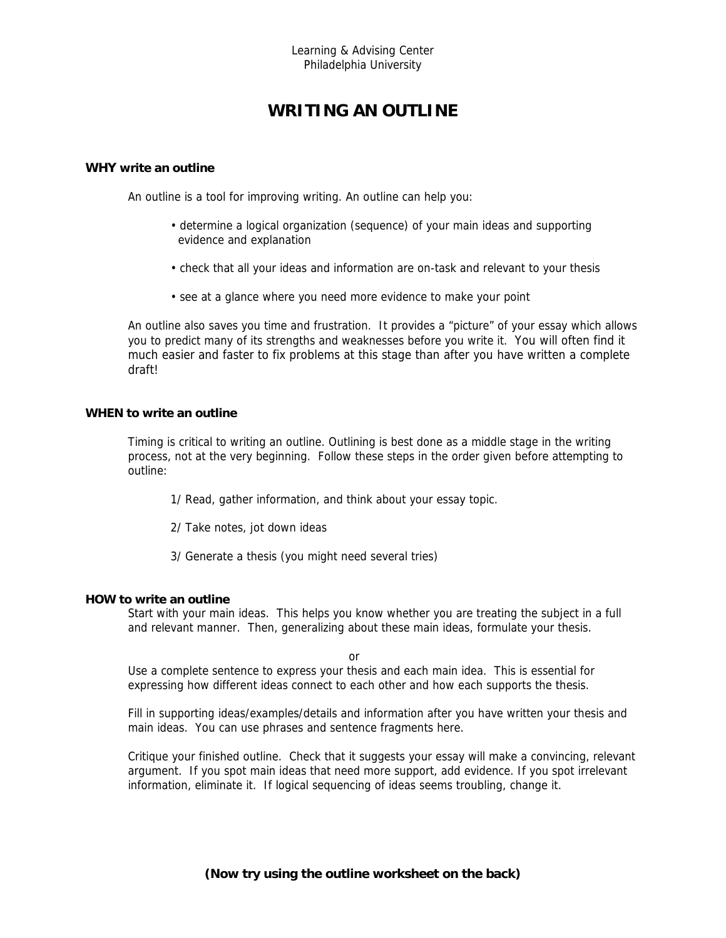# **WRITING AN OUTLINE**

### **WHY write an outline**

An outline is a tool for improving writing. An outline can help you:

- determine a logical organization (sequence) of your main ideas and supporting evidence and explanation
- check that all your ideas and information are on-task and relevant to your thesis
- see at a glance where you need more evidence to make your point

An outline also saves you time and frustration. It provides a "picture" of your essay which allows you to predict many of its strengths and weaknesses before you write it. You will often find it much easier and faster to fix problems at this stage than after you have written a complete draft!

### **WHEN to write an outline**

Timing is critical to writing an outline. Outlining is best done as a middle stage in the writing process, not at the very beginning. Follow these steps in the order given before attempting to outline:

1/ Read, gather information, and think about your essay topic.

- 2/ Take notes, jot down ideas
- 3/ Generate a thesis (you might need several tries)

#### **HOW to write an outline**

Start with your main ideas. This helps you know whether you are treating the subject in a full and relevant manner. Then, generalizing about these main ideas, formulate your thesis.

or and the contract of the contract of the contract of the contract of the contract of the contract of the contract of the contract of the contract of the contract of the contract of the contract of the contract of the con

Use a complete sentence to express your thesis and each main idea. This is essential for expressing how different ideas connect to each other and how each supports the thesis.

Fill in supporting ideas/examples/details and information after you have written your thesis and main ideas. You can use phrases and sentence fragments here.

Critique your finished outline. Check that it suggests your essay will make a convincing, relevant argument. If you spot main ideas that need more support, add evidence. If you spot irrelevant information, eliminate it. If logical sequencing of ideas seems troubling, change it.